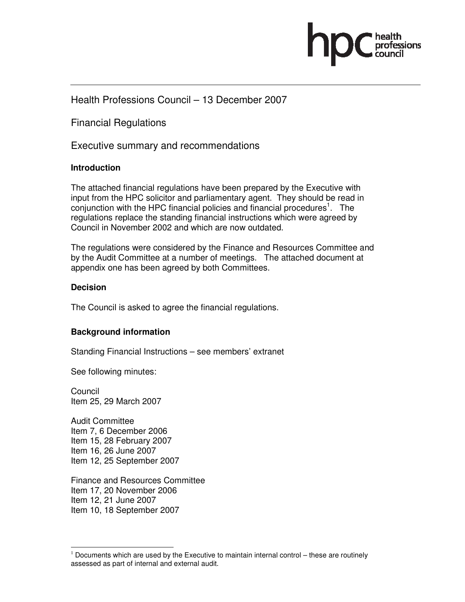

## Health Professions Council – 13 December 2007

Financial Regulations

Executive summary and recommendations

#### **Introduction**

The attached financial regulations have been prepared by the Executive with input from the HPC solicitor and parliamentary agent. They should be read in conjunction with the HPC financial policies and financial procedures<sup>1</sup>. The regulations replace the standing financial instructions which were agreed by Council in November 2002 and which are now outdated.

The regulations were considered by the Finance and Resources Committee and by the Audit Committee at a number of meetings. The attached document at appendix one has been agreed by both Committees.

#### **Decision**

The Council is asked to agree the financial regulations.

### **Background information**

Standing Financial Instructions – see members' extranet

See following minutes:

Council Item 25, 29 March 2007

Audit Committee Item 7, 6 December 2006 Item 15, 28 February 2007 Item 16, 26 June 2007 Item 12, 25 September 2007

Finance and Resources Committee Item 17, 20 November 2006 Item 12, 21 June 2007 Item 10, 18 September 2007

<sup>-</sup> $<sup>1</sup>$  Documents which are used by the Executive to maintain internal control – these are routinely</sup> assessed as part of internal and external audit.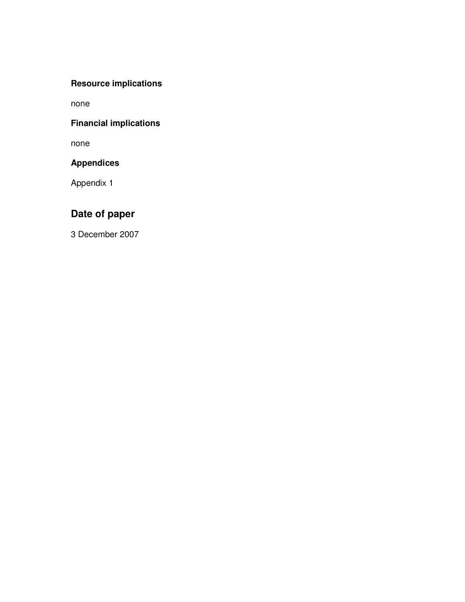## **Resource implications**

none

## **Financial implications**

none

## **Appendices**

Appendix 1

# **Date of paper**

3 December 2007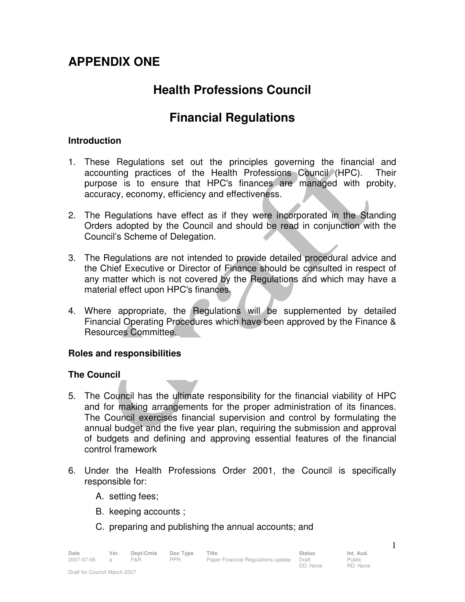# **APPENDIX ONE**

# **Health Professions Council**

# **Financial Regulations**

### **Introduction**

- 1. These Regulations set out the principles governing the financial and accounting practices of the Health Professions Council (HPC). Their purpose is to ensure that HPC's finances are managed with probity, accuracy, economy, efficiency and effectiveness.
- 2. The Regulations have effect as if they were incorporated in the Standing Orders adopted by the Council and should be read in conjunction with the Council's Scheme of Delegation.
- 3. The Regulations are not intended to provide detailed procedural advice and the Chief Executive or Director of Finance should be consulted in respect of any matter which is not covered by the Regulations and which may have a material effect upon HPC's finances.
- 4. Where appropriate, the Regulations will be supplemented by detailed Financial Operating Procedures which have been approved by the Finance & Resources Committee.

### **Roles and responsibilities**

## **The Council**

- 5. The Council has the ultimate responsibility for the financial viability of HPC and for making arrangements for the proper administration of its finances. The Council exercises financial supervision and control by formulating the annual budget and the five year plan, requiring the submission and approval of budgets and defining and approving essential features of the financial control framework
- 6. Under the Health Professions Order 2001, the Council is specifically responsible for:

DD: None

Public RD: None

- A. setting fees;
- B. keeping accounts ;
- C. preparing and publishing the annual accounts; and

| Date       |                | Ver. Dept/Cmte DocType Title |     |                                           | Status | Int. Aud. |
|------------|----------------|------------------------------|-----|-------------------------------------------|--------|-----------|
| 2007-07-06 | $\overline{a}$ | <b>F&amp;R</b>               | PPR | Paper Financial Regulations update  Draft |        | Public    |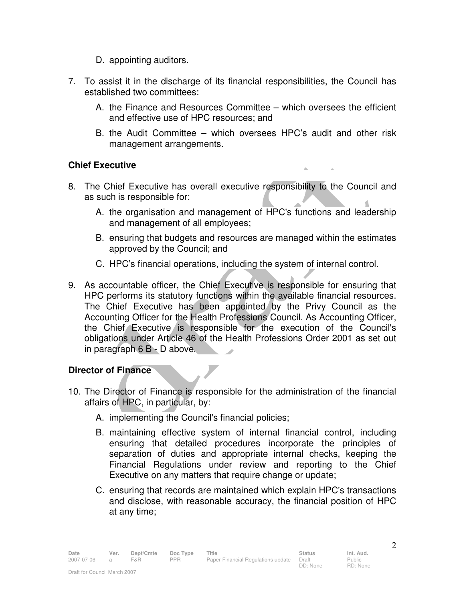- D. appointing auditors.
- 7. To assist it in the discharge of its financial responsibilities, the Council has established two committees:
	- A. the Finance and Resources Committee which oversees the efficient and effective use of HPC resources; and
	- B. the Audit Committee which oversees HPC's audit and other risk management arrangements.

 $\Delta \omega$ 

## **Chief Executive**

- 8. The Chief Executive has overall executive responsibility to the Council and as such is responsible for:
	- A. the organisation and management of HPC's functions and leadership and management of all employees;
	- B. ensuring that budgets and resources are managed within the estimates approved by the Council; and
	- C. HPC's financial operations, including the system of internal control.
- 9. As accountable officer, the Chief Executive is responsible for ensuring that HPC performs its statutory functions within the available financial resources. The Chief Executive has been appointed by the Privy Council as the Accounting Officer for the Health Professions Council. As Accounting Officer, the Chief Executive is responsible for the execution of the Council's obligations under Article 46 of the Health Professions Order 2001 as set out in paragraph 6 B - D above.

## **Director of Finance**

- 10. The Director of Finance is responsible for the administration of the financial affairs of HPC, in particular, by:
	- A. implementing the Council's financial policies;
	- B. maintaining effective system of internal financial control, including ensuring that detailed procedures incorporate the principles of separation of duties and appropriate internal checks, keeping the Financial Regulations under review and reporting to the Chief Executive on any matters that require change or update;
	- C. ensuring that records are maintained which explain HPC's transactions and disclose, with reasonable accuracy, the financial position of HPC at any time;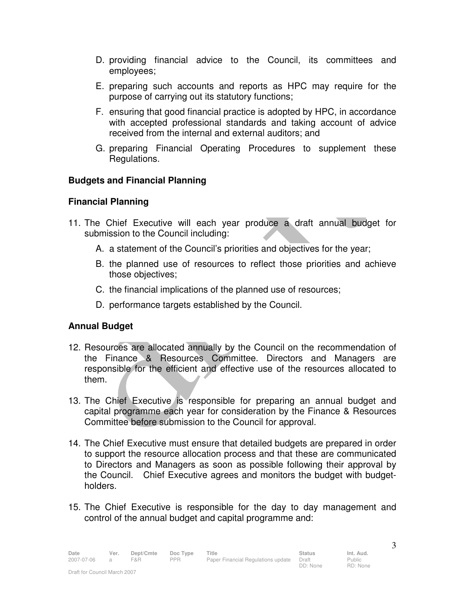- D. providing financial advice to the Council, its committees and employees;
- E. preparing such accounts and reports as HPC may require for the purpose of carrying out its statutory functions;
- F. ensuring that good financial practice is adopted by HPC, in accordance with accepted professional standards and taking account of advice received from the internal and external auditors; and
- G. preparing Financial Operating Procedures to supplement these Regulations.

## **Budgets and Financial Planning**

### **Financial Planning**

- 11. The Chief Executive will each year produce a draft annual budget for submission to the Council including:
	- A. a statement of the Council's priorities and objectives for the year;
	- B. the planned use of resources to reflect those priorities and achieve those objectives;
	- C. the financial implications of the planned use of resources;
	- D. performance targets established by the Council.

## **Annual Budget**

- 12. Resources are allocated annually by the Council on the recommendation of the Finance & Resources Committee. Directors and Managers are responsible for the efficient and effective use of the resources allocated to them.
- 13. The Chief Executive is responsible for preparing an annual budget and capital programme each year for consideration by the Finance & Resources Committee before submission to the Council for approval.
- 14. The Chief Executive must ensure that detailed budgets are prepared in order to support the resource allocation process and that these are communicated to Directors and Managers as soon as possible following their approval by the Council. Chief Executive agrees and monitors the budget with budgetholders.
- 15. The Chief Executive is responsible for the day to day management and control of the annual budget and capital programme and: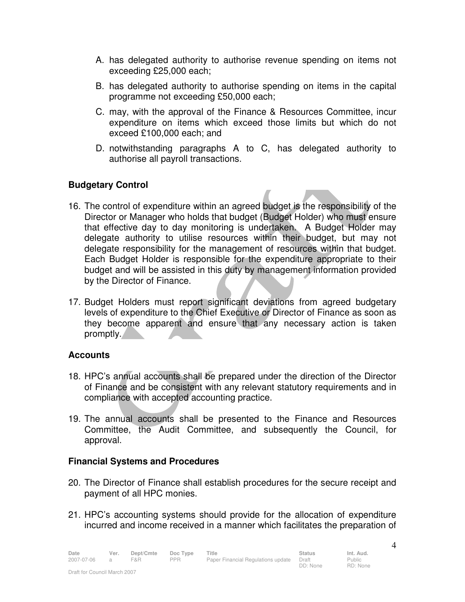- A. has delegated authority to authorise revenue spending on items not exceeding £25,000 each;
- B. has delegated authority to authorise spending on items in the capital programme not exceeding £50,000 each;
- C. may, with the approval of the Finance & Resources Committee, incur expenditure on items which exceed those limits but which do not exceed £100,000 each; and
- D. notwithstanding paragraphs A to C, has delegated authority to authorise all payroll transactions.

## **Budgetary Control**

- 16. The control of expenditure within an agreed budget is the responsibility of the Director or Manager who holds that budget (Budget Holder) who must ensure that effective day to day monitoring is undertaken. A Budget Holder may delegate authority to utilise resources within their budget, but may not delegate responsibility for the management of resources within that budget. Each Budget Holder is responsible for the expenditure appropriate to their budget and will be assisted in this duty by management information provided by the Director of Finance.
- 17. Budget Holders must report significant deviations from agreed budgetary levels of expenditure to the Chief Executive or Director of Finance as soon as they become apparent and ensure that any necessary action is taken promptly.

## **Accounts**

- 18. HPC's annual accounts shall be prepared under the direction of the Director of Finance and be consistent with any relevant statutory requirements and in compliance with accepted accounting practice.
- 19. The annual accounts shall be presented to the Finance and Resources Committee, the Audit Committee, and subsequently the Council, for approval.

## **Financial Systems and Procedures**

- 20. The Director of Finance shall establish procedures for the secure receipt and payment of all HPC monies.
- 21. HPC's accounting systems should provide for the allocation of expenditure incurred and income received in a manner which facilitates the preparation of

Date Ver. Dept/Cmte Doc<sup>Type</sup> Title **Status** Status Int. Aud. 2007-07-06 a F&R PPR Paper Financial Regulations update Draft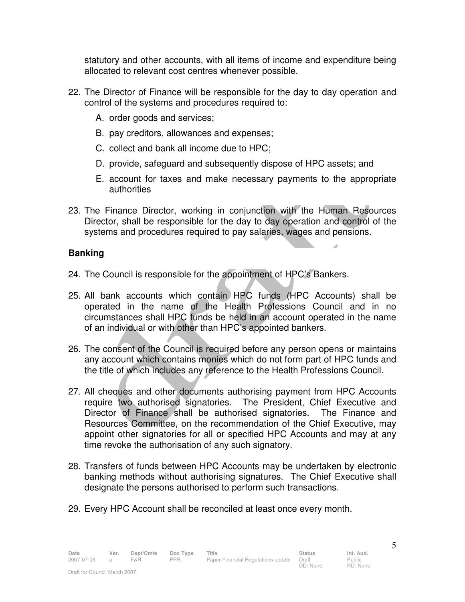statutory and other accounts, with all items of income and expenditure being allocated to relevant cost centres whenever possible.

- 22. The Director of Finance will be responsible for the day to day operation and control of the systems and procedures required to:
	- A. order goods and services;
	- B. pay creditors, allowances and expenses;
	- C. collect and bank all income due to HPC;
	- D. provide, safeguard and subsequently dispose of HPC assets; and
	- E. account for taxes and make necessary payments to the appropriate authorities
- 23. The Finance Director, working in conjunction with the Human Resources Director, shall be responsible for the day to day operation and control of the systems and procedures required to pay salaries, wages and pensions.

## **Banking**

- 24. The Council is responsible for the appointment of HPC's Bankers.
- 25. All bank accounts which contain HPC funds (HPC Accounts) shall be operated in the name of the Health Professions Council and in no circumstances shall HPC funds be held in an account operated in the name of an individual or with other than HPC's appointed bankers.
- 26. The consent of the Council is required before any person opens or maintains any account which contains monies which do not form part of HPC funds and the title of which includes any reference to the Health Professions Council.
- 27. All cheques and other documents authorising payment from HPC Accounts require two authorised signatories. The President, Chief Executive and Director of Finance shall be authorised signatories. The Finance and Resources Committee, on the recommendation of the Chief Executive, may appoint other signatories for all or specified HPC Accounts and may at any time revoke the authorisation of any such signatory.
- 28. Transfers of funds between HPC Accounts may be undertaken by electronic banking methods without authorising signatures. The Chief Executive shall designate the persons authorised to perform such transactions.
- 29. Every HPC Account shall be reconciled at least once every month.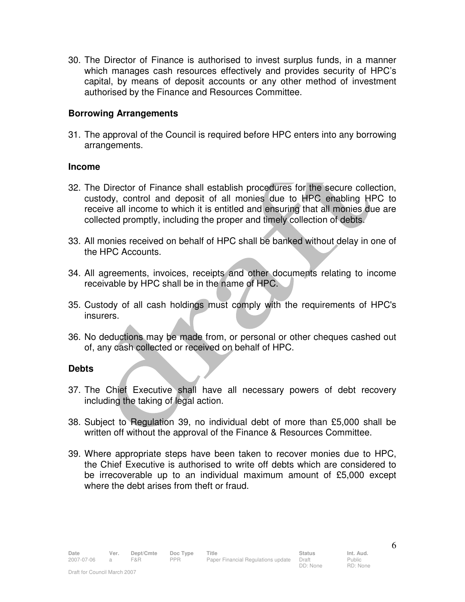30. The Director of Finance is authorised to invest surplus funds, in a manner which manages cash resources effectively and provides security of HPC's capital, by means of deposit accounts or any other method of investment authorised by the Finance and Resources Committee.

### **Borrowing Arrangements**

31. The approval of the Council is required before HPC enters into any borrowing arrangements.

#### **Income**

- 32. The Director of Finance shall establish procedures for the secure collection, custody, control and deposit of all monies due to HPC enabling HPC to receive all income to which it is entitled and ensuring that all monies due are collected promptly, including the proper and timely collection of debts.
- 33. All monies received on behalf of HPC shall be banked without delay in one of the HPC Accounts.
- 34. All agreements, invoices, receipts and other documents relating to income receivable by HPC shall be in the name of HPC.
- 35. Custody of all cash holdings must comply with the requirements of HPC's insurers.
- 36. No deductions may be made from, or personal or other cheques cashed out of, any cash collected or received on behalf of HPC.

#### **Debts**

- 37. The Chief Executive shall have all necessary powers of debt recovery including the taking of legal action.
- 38. Subject to Regulation 39, no individual debt of more than £5,000 shall be written off without the approval of the Finance & Resources Committee.
- 39. Where appropriate steps have been taken to recover monies due to HPC, the Chief Executive is authorised to write off debts which are considered to be irrecoverable up to an individual maximum amount of £5,000 except where the debt arises from theft or fraud.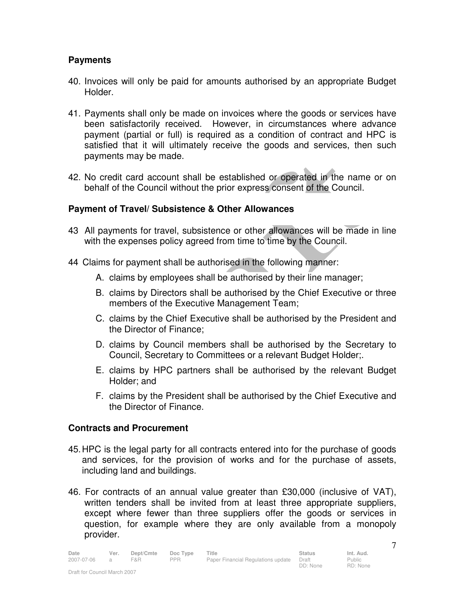## **Payments**

- 40. Invoices will only be paid for amounts authorised by an appropriate Budget Holder.
- 41. Payments shall only be made on invoices where the goods or services have been satisfactorily received. However, in circumstances where advance payment (partial or full) is required as a condition of contract and HPC is satisfied that it will ultimately receive the goods and services, then such payments may be made.
- 42. No credit card account shall be established or operated in the name or on behalf of the Council without the prior express consent of the Council.

## **Payment of Travel/ Subsistence & Other Allowances**

- 43 All payments for travel, subsistence or other allowances will be made in line with the expenses policy agreed from time to time by the Council.
- 44 Claims for payment shall be authorised in the following manner:
	- A. claims by employees shall be authorised by their line manager;
	- B. claims by Directors shall be authorised by the Chief Executive or three members of the Executive Management Team;
	- C. claims by the Chief Executive shall be authorised by the President and the Director of Finance;
	- D. claims by Council members shall be authorised by the Secretary to Council, Secretary to Committees or a relevant Budget Holder;.
	- E. claims by HPC partners shall be authorised by the relevant Budget Holder; and
	- F. claims by the President shall be authorised by the Chief Executive and the Director of Finance.

### **Contracts and Procurement**

- 45. HPC is the legal party for all contracts entered into for the purchase of goods and services, for the provision of works and for the purchase of assets, including land and buildings.
- 46. For contracts of an annual value greater than £30,000 (inclusive of VAT), written tenders shall be invited from at least three appropriate suppliers, except where fewer than three suppliers offer the goods or services in question, for example where they are only available from a monopoly provider.

Public RD: None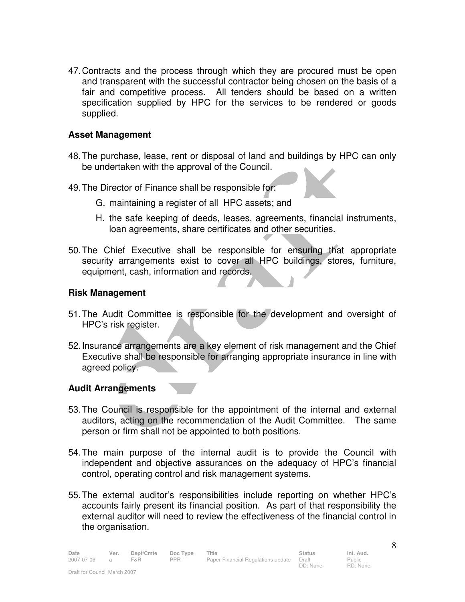47. Contracts and the process through which they are procured must be open and transparent with the successful contractor being chosen on the basis of a fair and competitive process. All tenders should be based on a written specification supplied by HPC for the services to be rendered or goods supplied.

### **Asset Management**

- 48. The purchase, lease, rent or disposal of land and buildings by HPC can only be undertaken with the approval of the Council.
- 49. The Director of Finance shall be responsible for:
	- G. maintaining a register of all HPC assets; and
	- H. the safe keeping of deeds, leases, agreements, financial instruments, loan agreements, share certificates and other securities.
- 50. The Chief Executive shall be responsible for ensuring that appropriate security arrangements exist to cover all HPC buildings, stores, furniture, equipment, cash, information and records.

### **Risk Management**

- 51. The Audit Committee is responsible for the development and oversight of HPC's risk register.
- 52. Insurance arrangements are a key element of risk management and the Chief Executive shall be responsible for arranging appropriate insurance in line with agreed policy.

## **Audit Arrangements**

- 53. The Council is responsible for the appointment of the internal and external auditors, acting on the recommendation of the Audit Committee. The same person or firm shall not be appointed to both positions.
- 54. The main purpose of the internal audit is to provide the Council with independent and objective assurances on the adequacy of HPC's financial control, operating control and risk management systems.
- 55. The external auditor's responsibilities include reporting on whether HPC's accounts fairly present its financial position. As part of that responsibility the external auditor will need to review the effectiveness of the financial control in the organisation.